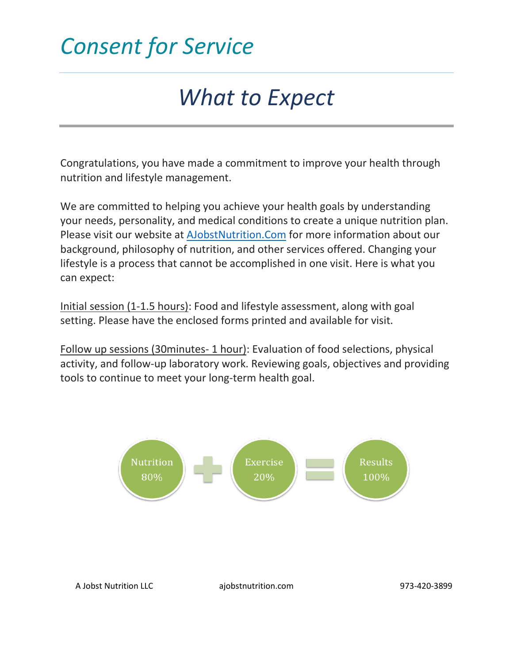### *What to Expect*

Congratulations, you have made a commitment to improve your health through nutrition and lifestyle management.

We are committed to helping you achieve your health goals by understanding your needs, personality, and medical conditions to create a unique nutrition plan. Please visit our website at [AJobstNutrition.Com](https://ajobstnutrition.com/) for more information about our background, philosophy of nutrition, and other services offered. Changing your lifestyle is a process that cannot be accomplished in one visit. Here is what you can expect:

Initial session (1-1.5 hours): Food and lifestyle assessment, along with goal setting. Please have the enclosed forms printed and available for visit.

Follow up sessions (30minutes- 1 hour): Evaluation of food selections, physical activity, and follow-up laboratory work. Reviewing goals, objectives and providing tools to continue to meet your long-term health goal.

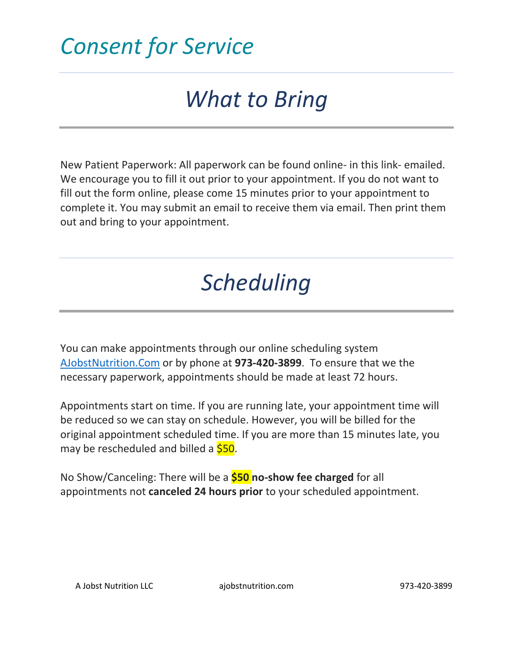# *What to Bring*

New Patient Paperwork: All paperwork can be found online- in this link- emailed. We encourage you to fill it out prior to your appointment. If you do not want to fill out the form online, please come 15 minutes prior to your appointment to complete it. You may submit an email to receive them via email. Then print them out and bring to your appointment.

# *Scheduling*

You can make appointments through our online scheduling system [AJobstNutrition.Com](https://ajobstnutrition.com/) or by phone at **973-420-3899**. To ensure that we the necessary paperwork, appointments should be made at least 72 hours.

Appointments start on time. If you are running late, your appointment time will be reduced so we can stay on schedule. However, you will be billed for the original appointment scheduled time. If you are more than 15 minutes late, you may be rescheduled and billed a  $$50$ .

No Show/Canceling: There will be a **\$50 no-show fee charged** for all appointments not **canceled 24 hours prior** to your scheduled appointment.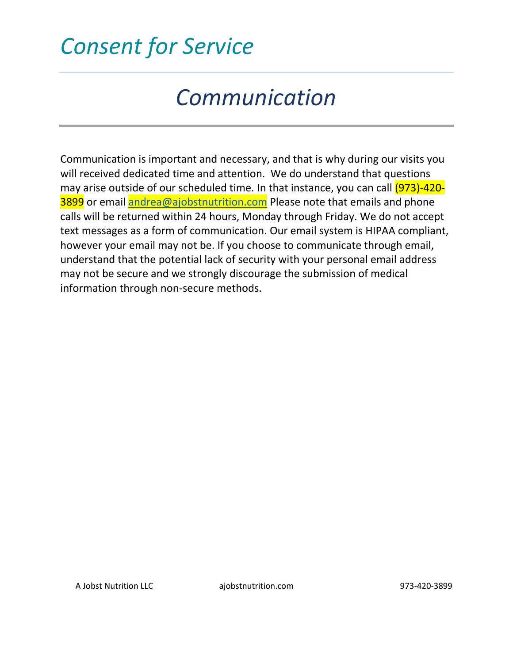# *Communication*

Communication is important and necessary, and that is why during our visits you will received dedicated time and attention. We do understand that questions may arise outside of our scheduled time. In that instance, you can call (973)-4203899 or email [andrea@ajobstnutrition.com](mailto:andrea@ajobstnutrition.com) Please note that emails and phone calls will be returned within 24 hours, Monday through Friday. We do not accept text messages as a form of communication. Our email system is HIPAA compliant, however your email may not be. If you choose to communicate through email, understand that the potential lack of security with your personal email address may not be secure and we strongly discourage the submission of medical information through non-secure methods.